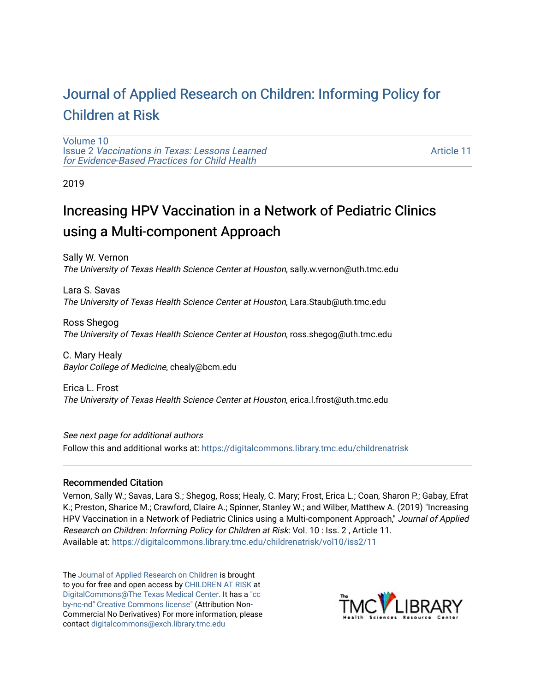# [Journal of Applied Research on Children: Informing Policy for](https://digitalcommons.library.tmc.edu/childrenatrisk) [Children at Risk](https://digitalcommons.library.tmc.edu/childrenatrisk)

[Volume 10](https://digitalcommons.library.tmc.edu/childrenatrisk/vol10) Issue 2 [Vaccinations in Texas: Lessons Learned](https://digitalcommons.library.tmc.edu/childrenatrisk/vol10/iss2)  [for Evidence-Based Practices for Child Health](https://digitalcommons.library.tmc.edu/childrenatrisk/vol10/iss2)

[Article 11](https://digitalcommons.library.tmc.edu/childrenatrisk/vol10/iss2/11) 

2019

# Increasing HPV Vaccination in a Network of Pediatric Clinics using a Multi-component Approach

Sally W. Vernon The University of Texas Health Science Center at Houston, sally.w.vernon@uth.tmc.edu

Lara S. Savas The University of Texas Health Science Center at Houston, Lara.Staub@uth.tmc.edu

Ross Shegog The University of Texas Health Science Center at Houston, ross.shegog@uth.tmc.edu

C. Mary Healy Baylor College of Medicine, chealy@bcm.edu

Erica L. Frost The University of Texas Health Science Center at Houston, erica.l.frost@uth.tmc.edu

See next page for additional authors Follow this and additional works at: [https://digitalcommons.library.tmc.edu/childrenatrisk](https://digitalcommons.library.tmc.edu/childrenatrisk?utm_source=digitalcommons.library.tmc.edu%2Fchildrenatrisk%2Fvol10%2Fiss2%2F11&utm_medium=PDF&utm_campaign=PDFCoverPages) 

#### Recommended Citation

Vernon, Sally W.; Savas, Lara S.; Shegog, Ross; Healy, C. Mary; Frost, Erica L.; Coan, Sharon P.; Gabay, Efrat K.; Preston, Sharice M.; Crawford, Claire A.; Spinner, Stanley W.; and Wilber, Matthew A. (2019) "Increasing HPV Vaccination in a Network of Pediatric Clinics using a Multi-component Approach," Journal of Applied Research on Children: Informing Policy for Children at Risk: Vol. 10 : Iss. 2 , Article 11. Available at: [https://digitalcommons.library.tmc.edu/childrenatrisk/vol10/iss2/11](https://digitalcommons.library.tmc.edu/childrenatrisk/vol10/iss2/11?utm_source=digitalcommons.library.tmc.edu%2Fchildrenatrisk%2Fvol10%2Fiss2%2F11&utm_medium=PDF&utm_campaign=PDFCoverPages)

The [Journal of Applied Research on Children](http://digitalcommons.library.tmc.edu/childrenatrisk) is brought to you for free and open access by [CHILDREN AT RISK](http://childrenatrisk.org/) at [DigitalCommons@The Texas Medical Center](http://digitalcommons.library.tmc.edu/). It has a ["cc](http://creativecommons.org/licenses/by-nc-nd/3.0/)  [by-nc-nd" Creative Commons license"](http://creativecommons.org/licenses/by-nc-nd/3.0/) (Attribution Non-Commercial No Derivatives) For more information, please contact [digitalcommons@exch.library.tmc.edu](mailto:digitalcommons@exch.library.tmc.edu) 

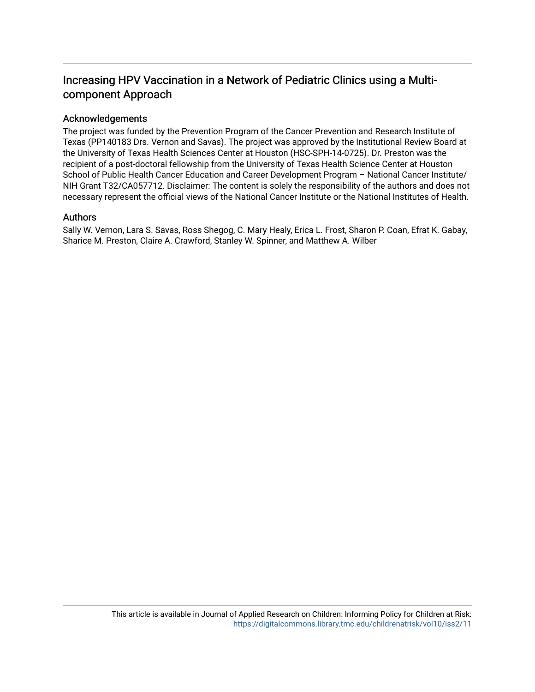# Increasing HPV Vaccination in a Network of Pediatric Clinics using a Multicomponent Approach

#### Acknowledgements

The project was funded by the Prevention Program of the Cancer Prevention and Research Institute of Texas (PP140183 Drs. Vernon and Savas). The project was approved by the Institutional Review Board at the University of Texas Health Sciences Center at Houston (HSC-SPH-14-0725). Dr. Preston was the recipient of a post-doctoral fellowship from the University of Texas Health Science Center at Houston School of Public Health Cancer Education and Career Development Program – National Cancer Institute/ NIH Grant T32/CA057712. Disclaimer: The content is solely the responsibility of the authors and does not necessary represent the official views of the National Cancer Institute or the National Institutes of Health.

#### Authors

Sally W. Vernon, Lara S. Savas, Ross Shegog, C. Mary Healy, Erica L. Frost, Sharon P. Coan, Efrat K. Gabay, Sharice M. Preston, Claire A. Crawford, Stanley W. Spinner, and Matthew A. Wilber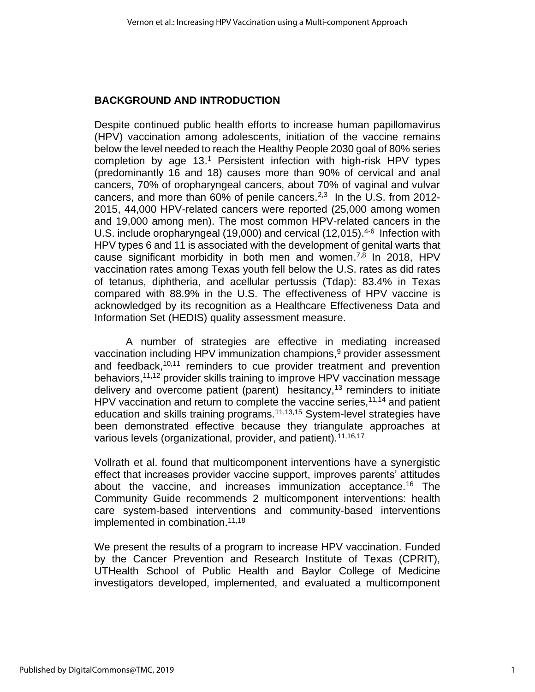#### **BACKGROUND AND INTRODUCTION**

Despite continued public health efforts to increase human papillomavirus (HPV) vaccination among adolescents, initiation of the vaccine remains below the level needed to reach the Healthy People 2030 goal of 80% series completion by age 13. <sup>1</sup> Persistent infection with high-risk HPV types (predominantly 16 and 18) causes more than 90% of cervical and anal cancers, 70% of oropharyngeal cancers, about 70% of vaginal and vulvar cancers, and more than  $60\%$  of penile cancers.<sup>2,3</sup> In the U.S. from 2012-2015, 44,000 HPV-related cancers were reported (25,000 among women and 19,000 among men). The most common HPV-related cancers in the U.S. include oropharyngeal (19,000) and cervical (12,015).<sup>4-6</sup> Infection with HPV types 6 and 11 is associated with the development of genital warts that cause significant morbidity in both men and women.<sup>7,8</sup> In 2018, HPV vaccination rates among Texas youth fell below the U.S. rates as did rates of tetanus, diphtheria, and acellular pertussis (Tdap): 83.4% in Texas compared with 88.9% in the U.S. The effectiveness of HPV vaccine is acknowledged by its recognition as a Healthcare Effectiveness Data and Information Set (HEDIS) quality assessment measure.

A number of strategies are effective in mediating increased vaccination including HPV immunization champions, $9$  provider assessment and feedback,<sup>10,11</sup> reminders to cue provider treatment and prevention behaviors,<sup>11,12</sup> provider skills training to improve HPV vaccination message delivery and overcome patient (parent) hesitancy,<sup>13</sup> reminders to initiate HPV vaccination and return to complete the vaccine series,  $11,14$  and patient education and skills training programs.<sup>11,13,15</sup> System-level strategies have been demonstrated effective because they triangulate approaches at various levels (organizational, provider, and patient).<sup>11,16,17</sup>

Vollrath et al. found that multicomponent interventions have a synergistic effect that increases provider vaccine support, improves parents' attitudes about the vaccine, and increases immunization acceptance.<sup>16</sup> The Community Guide recommends 2 multicomponent interventions: health care system-based interventions and community-based interventions implemented in combination.11,18

We present the results of a program to increase HPV vaccination. Funded by the Cancer Prevention and Research Institute of Texas (CPRIT), UTHealth School of Public Health and Baylor College of Medicine investigators developed, implemented, and evaluated a multicomponent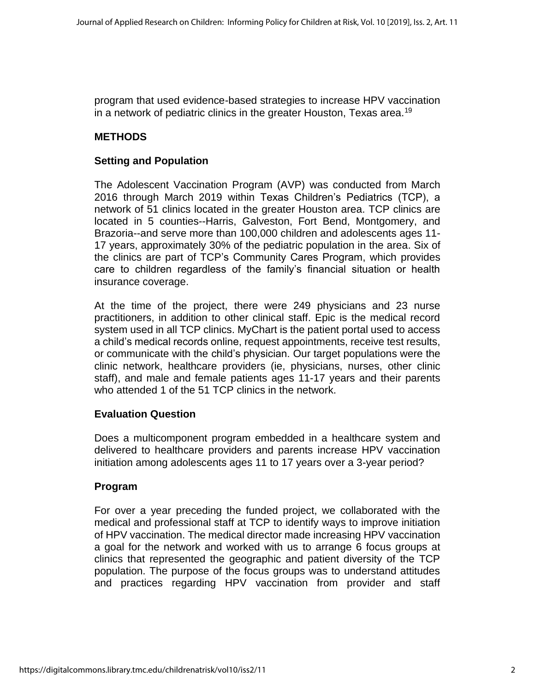program that used evidence-based strategies to increase HPV vaccination in a network of pediatric clinics in the greater Houston, Texas area.<sup>19</sup>

# **METHODS**

# **Setting and Population**

The Adolescent Vaccination Program (AVP) was conducted from March 2016 through March 2019 within Texas Children's Pediatrics (TCP), a network of 51 clinics located in the greater Houston area. TCP clinics are located in 5 counties--Harris, Galveston, Fort Bend, Montgomery, and Brazoria--and serve more than 100,000 children and adolescents ages 11- 17 years, approximately 30% of the pediatric population in the area. Six of the clinics are part of TCP's Community Cares Program, which provides care to children regardless of the family's financial situation or health insurance coverage.

At the time of the project, there were 249 physicians and 23 nurse practitioners, in addition to other clinical staff. Epic is the medical record system used in all TCP clinics. MyChart is the patient portal used to access a child's medical records online, request appointments, receive test results, or communicate with the child's physician. Our target populations were the clinic network, healthcare providers (ie, physicians, nurses, other clinic staff), and male and female patients ages 11-17 years and their parents who attended 1 of the 51 TCP clinics in the network.

## **Evaluation Question**

Does a multicomponent program embedded in a healthcare system and delivered to healthcare providers and parents increase HPV vaccination initiation among adolescents ages 11 to 17 years over a 3-year period?

# **Program**

For over a year preceding the funded project, we collaborated with the medical and professional staff at TCP to identify ways to improve initiation of HPV vaccination. The medical director made increasing HPV vaccination a goal for the network and worked with us to arrange 6 focus groups at clinics that represented the geographic and patient diversity of the TCP population. The purpose of the focus groups was to understand attitudes and practices regarding HPV vaccination from provider and staff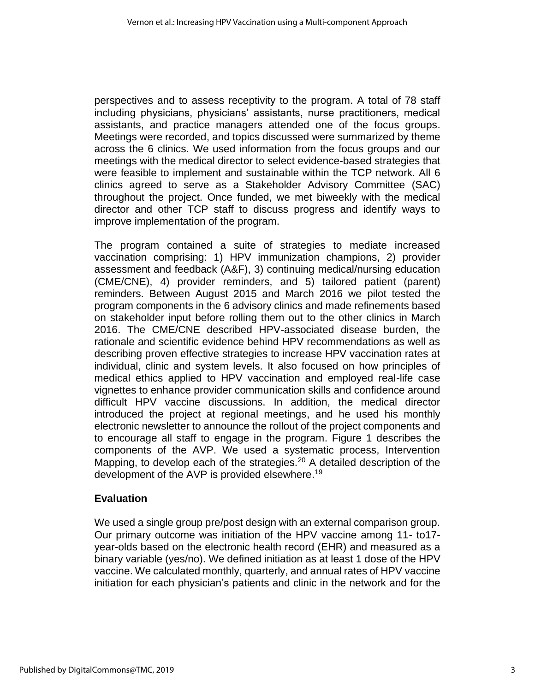perspectives and to assess receptivity to the program. A total of 78 staff including physicians, physicians' assistants, nurse practitioners, medical assistants, and practice managers attended one of the focus groups. Meetings were recorded, and topics discussed were summarized by theme across the 6 clinics. We used information from the focus groups and our meetings with the medical director to select evidence-based strategies that were feasible to implement and sustainable within the TCP network. All 6 clinics agreed to serve as a Stakeholder Advisory Committee (SAC) throughout the project. Once funded, we met biweekly with the medical director and other TCP staff to discuss progress and identify ways to improve implementation of the program.

The program contained a suite of strategies to mediate increased vaccination comprising: 1) HPV immunization champions, 2) provider assessment and feedback (A&F), 3) continuing medical/nursing education (CME/CNE), 4) provider reminders, and 5) tailored patient (parent) reminders. Between August 2015 and March 2016 we pilot tested the program components in the 6 advisory clinics and made refinements based on stakeholder input before rolling them out to the other clinics in March 2016. The CME/CNE described HPV-associated disease burden, the rationale and scientific evidence behind HPV recommendations as well as describing proven effective strategies to increase HPV vaccination rates at individual, clinic and system levels. It also focused on how principles of medical ethics applied to HPV vaccination and employed real-life case vignettes to enhance provider communication skills and confidence around difficult HPV vaccine discussions. In addition, the medical director introduced the project at regional meetings, and he used his monthly electronic newsletter to announce the rollout of the project components and to encourage all staff to engage in the program. Figure 1 describes the components of the AVP. We used a systematic process, Intervention Mapping, to develop each of the strategies.<sup>20</sup> A detailed description of the development of the AVP is provided elsewhere.<sup>19</sup>

## **Evaluation**

We used a single group pre/post design with an external comparison group. Our primary outcome was initiation of the HPV vaccine among 11- to17 year-olds based on the electronic health record (EHR) and measured as a binary variable (yes/no). We defined initiation as at least 1 dose of the HPV vaccine. We calculated monthly, quarterly, and annual rates of HPV vaccine initiation for each physician's patients and clinic in the network and for the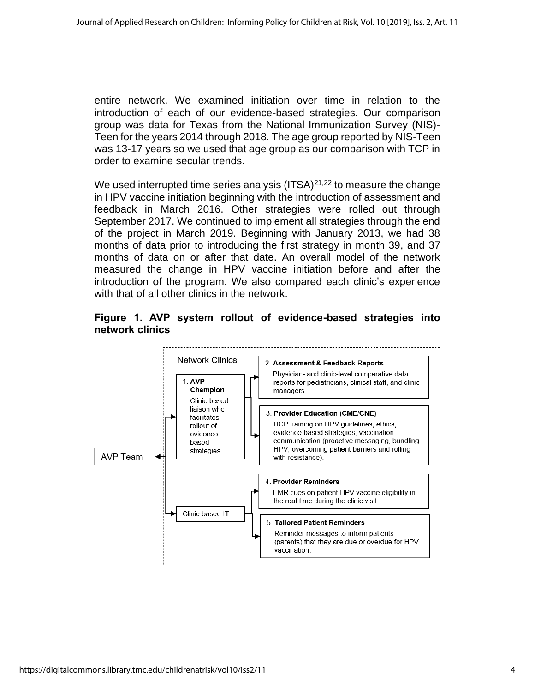entire network. We examined initiation over time in relation to the introduction of each of our evidence-based strategies. Our comparison group was data for Texas from the National Immunization Survey (NIS)- Teen for the years 2014 through 2018. The age group reported by NIS-Teen was 13-17 years so we used that age group as our comparison with TCP in order to examine secular trends.

We used interrupted time series analysis  $(ITSA)^{21,22}$  to measure the change in HPV vaccine initiation beginning with the introduction of assessment and feedback in March 2016. Other strategies were rolled out through September 2017. We continued to implement all strategies through the end of the project in March 2019. Beginning with January 2013, we had 38 months of data prior to introducing the first strategy in month 39, and 37 months of data on or after that date. An overall model of the network measured the change in HPV vaccine initiation before and after the introduction of the program. We also compared each clinic's experience with that of all other clinics in the network.



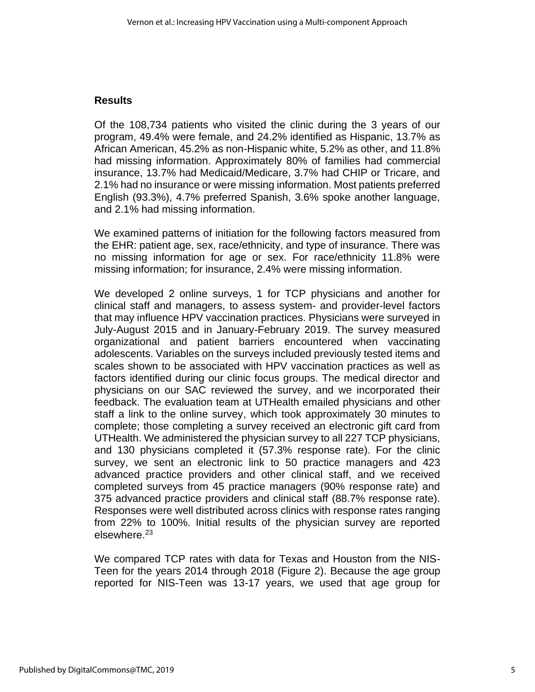#### **Results**

Of the 108,734 patients who visited the clinic during the 3 years of our program, 49.4% were female, and 24.2% identified as Hispanic, 13.7% as African American, 45.2% as non-Hispanic white, 5.2% as other, and 11.8% had missing information. Approximately 80% of families had commercial insurance, 13.7% had Medicaid/Medicare, 3.7% had CHIP or Tricare, and 2.1% had no insurance or were missing information. Most patients preferred English (93.3%), 4.7% preferred Spanish, 3.6% spoke another language, and 2.1% had missing information.

We examined patterns of initiation for the following factors measured from the EHR: patient age, sex, race/ethnicity, and type of insurance. There was no missing information for age or sex. For race/ethnicity 11.8% were missing information; for insurance, 2.4% were missing information.

We developed 2 online surveys, 1 for TCP physicians and another for clinical staff and managers, to assess system- and provider-level factors that may influence HPV vaccination practices. Physicians were surveyed in July-August 2015 and in January-February 2019. The survey measured organizational and patient barriers encountered when vaccinating adolescents. Variables on the surveys included previously tested items and scales shown to be associated with HPV vaccination practices as well as factors identified during our clinic focus groups. The medical director and physicians on our SAC reviewed the survey, and we incorporated their feedback. The evaluation team at UTHealth emailed physicians and other staff a link to the online survey, which took approximately 30 minutes to complete; those completing a survey received an electronic gift card from UTHealth. We administered the physician survey to all 227 TCP physicians, and 130 physicians completed it (57.3% response rate). For the clinic survey, we sent an electronic link to 50 practice managers and 423 advanced practice providers and other clinical staff, and we received completed surveys from 45 practice managers (90% response rate) and 375 advanced practice providers and clinical staff (88.7% response rate). Responses were well distributed across clinics with response rates ranging from 22% to 100%. Initial results of the physician survey are reported elsewhere.<sup>23</sup>

We compared TCP rates with data for Texas and Houston from the NIS-Teen for the years 2014 through 2018 (Figure 2). Because the age group reported for NIS-Teen was 13-17 years, we used that age group for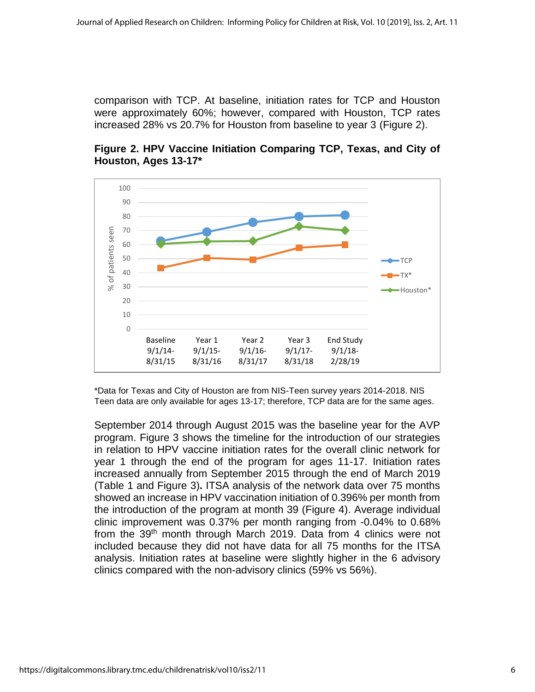comparison with TCP. At baseline, initiation rates for TCP and Houston were approximately 60%; however, compared with Houston, TCP rates increased 28% vs 20.7% for Houston from baseline to year 3 (Figure 2).



**Figure 2. HPV Vaccine Initiation Comparing TCP, Texas, and City of Houston, Ages 13-17\***

\*Data for Texas and City of Houston are from NIS-Teen survey years 2014-2018. NIS Teen data are only available for ages 13-17; therefore, TCP data are for the same ages.

September 2014 through August 2015 was the baseline year for the AVP program. Figure 3 shows the timeline for the introduction of our strategies in relation to HPV vaccine initiation rates for the overall clinic network for year 1 through the end of the program for ages 11-17. Initiation rates increased annually from September 2015 through the end of March 2019 (Table 1 and Figure 3)**.** ITSA analysis of the network data over 75 months showed an increase in HPV vaccination initiation of 0.396% per month from the introduction of the program at month 39 (Figure 4). Average individual clinic improvement was 0.37% per month ranging from -0.04% to 0.68% from the 39<sup>th</sup> month through March 2019. Data from 4 clinics were not included because they did not have data for all 75 months for the ITSA analysis. Initiation rates at baseline were slightly higher in the 6 advisory clinics compared with the non-advisory clinics (59% vs 56%).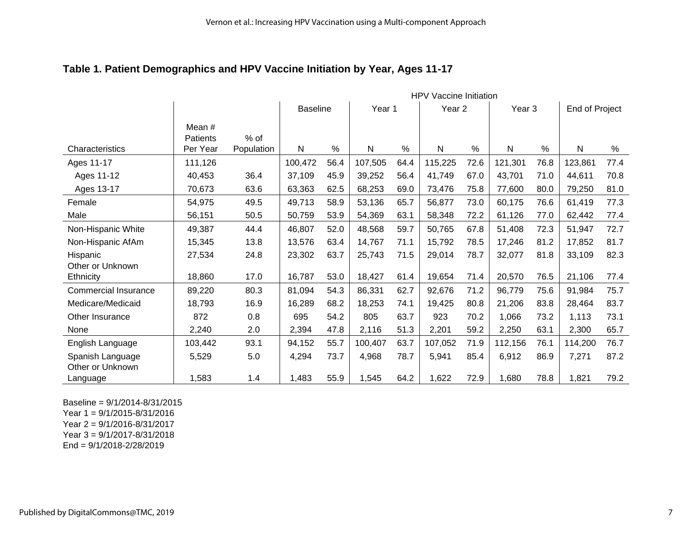## **Table 1. Patient Demographics and HPV Vaccine Initiation by Year, Ages 11-17**

|                             |                    |            | <b>HPV Vaccine Initiation</b> |      |         |      |                   |      |                   |      |                |      |
|-----------------------------|--------------------|------------|-------------------------------|------|---------|------|-------------------|------|-------------------|------|----------------|------|
|                             |                    |            | <b>Baseline</b>               |      | Year 1  |      | Year <sub>2</sub> |      | Year <sub>3</sub> |      | End of Project |      |
|                             | Mean #<br>Patients | $%$ of     |                               |      |         |      |                   |      |                   |      |                |      |
| Characteristics             | Per Year           | Population | N                             | %    | N       | %    | Ν                 | %    | N                 | %    | $\mathsf{N}$   | %    |
| Ages 11-17                  | 111,126            |            | 100,472                       | 56.4 | 107,505 | 64.4 | 115,225           | 72.6 | 121,301           | 76.8 | 123,861        | 77.4 |
| Ages 11-12                  | 40,453             | 36.4       | 37,109                        | 45.9 | 39,252  | 56.4 | 41,749            | 67.0 | 43,701            | 71.0 | 44,611         | 70.8 |
| Ages 13-17                  | 70,673             | 63.6       | 63,363                        | 62.5 | 68,253  | 69.0 | 73,476            | 75.8 | 77,600            | 80.0 | 79,250         | 81.0 |
| Female                      | 54,975             | 49.5       | 49,713                        | 58.9 | 53,136  | 65.7 | 56,877            | 73.0 | 60,175            | 76.6 | 61,419         | 77.3 |
| Male                        | 56,151             | 50.5       | 50,759                        | 53.9 | 54,369  | 63.1 | 58,348            | 72.2 | 61,126            | 77.0 | 62,442         | 77.4 |
| Non-Hispanic White          | 49,387             | 44.4       | 46,807                        | 52.0 | 48,568  | 59.7 | 50,765            | 67.8 | 51,408            | 72.3 | 51,947         | 72.7 |
| Non-Hispanic AfAm           | 15,345             | 13.8       | 13,576                        | 63.4 | 14,767  | 71.1 | 15,792            | 78.5 | 17,246            | 81.2 | 17,852         | 81.7 |
| Hispanic                    | 27,534             | 24.8       | 23,302                        | 63.7 | 25,743  | 71.5 | 29,014            | 78.7 | 32,077            | 81.8 | 33,109         | 82.3 |
| Other or Unknown            |                    |            |                               |      |         |      |                   |      |                   |      |                |      |
| Ethnicity                   | 18,860             | 17.0       | 16,787                        | 53.0 | 18,427  | 61.4 | 19,654            | 71.4 | 20,570            | 76.5 | 21,106         | 77.4 |
| <b>Commercial Insurance</b> | 89,220             | 80.3       | 81,094                        | 54.3 | 86,331  | 62.7 | 92,676            | 71.2 | 96,779            | 75.6 | 91,984         | 75.7 |
| Medicare/Medicaid           | 18,793             | 16.9       | 16,289                        | 68.2 | 18,253  | 74.1 | 19,425            | 80.8 | 21,206            | 83.8 | 28,464         | 83.7 |
| Other Insurance             | 872                | 0.8        | 695                           | 54.2 | 805     | 63.7 | 923               | 70.2 | 1,066             | 73.2 | 1,113          | 73.1 |
| None                        | 2,240              | 2.0        | 2,394                         | 47.8 | 2,116   | 51.3 | 2,201             | 59.2 | 2,250             | 63.1 | 2,300          | 65.7 |
| English Language            | 103,442            | 93.1       | 94,152                        | 55.7 | 100,407 | 63.7 | 107,052           | 71.9 | 112,156           | 76.1 | 114,200        | 76.7 |
| Spanish Language            | 5,529              | 5.0        | 4,294                         | 73.7 | 4,968   | 78.7 | 5,941             | 85.4 | 6,912             | 86.9 | 7,271          | 87.2 |
| Other or Unknown            |                    |            |                               |      |         |      |                   |      |                   |      |                |      |
| Language                    | 1,583              | 1.4        | 1,483                         | 55.9 | 1,545   | 64.2 | 1,622             | 72.9 | 1,680             | 78.8 | 1,821          | 79.2 |

Baseline = 9/1/2014-8/31/2015 Year 1 = 9/1/2015-8/31/2016 Year 2 = 9/1/2016-8/31/2017 Year 3 = 9/1/2017-8/31/2018

End = 9/1/2018-2/28/2019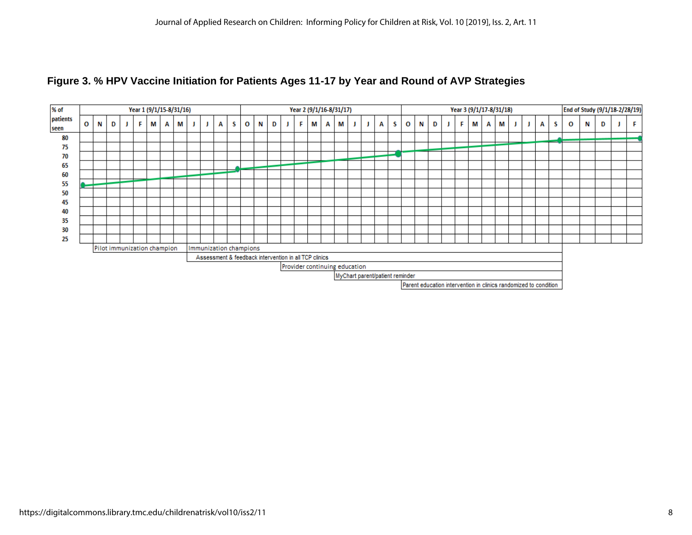

#### **Figure 3. % HPV Vaccine Initiation for Patients Ages 11-17 by Year and Round of AVP Strategies**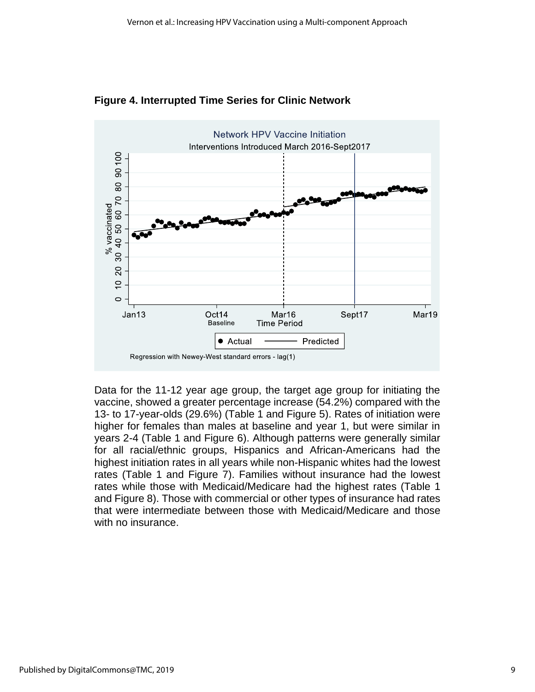

**Figure 4. Interrupted Time Series for Clinic Network**

Data for the 11-12 year age group, the target age group for initiating the vaccine, showed a greater percentage increase (54.2%) compared with the 13- to 17-year-olds (29.6%) (Table 1 and Figure 5). Rates of initiation were higher for females than males at baseline and year 1, but were similar in years 2-4 (Table 1 and Figure 6). Although patterns were generally similar for all racial/ethnic groups, Hispanics and African-Americans had the highest initiation rates in all years while non-Hispanic whites had the lowest rates (Table 1 and Figure 7). Families without insurance had the lowest rates while those with Medicaid/Medicare had the highest rates (Table 1 and Figure 8). Those with commercial or other types of insurance had rates that were intermediate between those with Medicaid/Medicare and those with no insurance.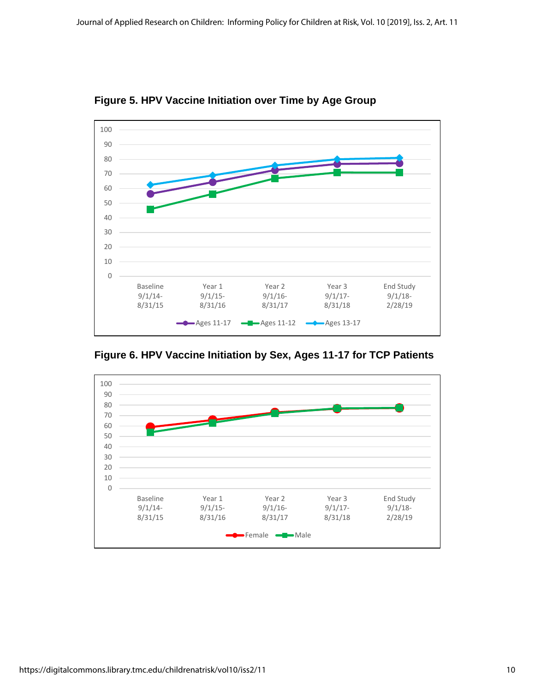

**Figure 5. HPV Vaccine Initiation over Time by Age Group** 

**Figure 6. HPV Vaccine Initiation by Sex, Ages 11-17 for TCP Patients**

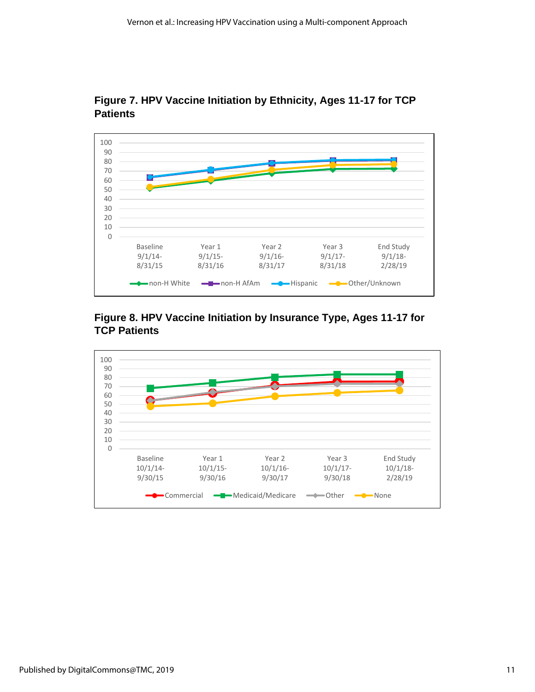

**Figure 7. HPV Vaccine Initiation by Ethnicity, Ages 11-17 for TCP Patients**



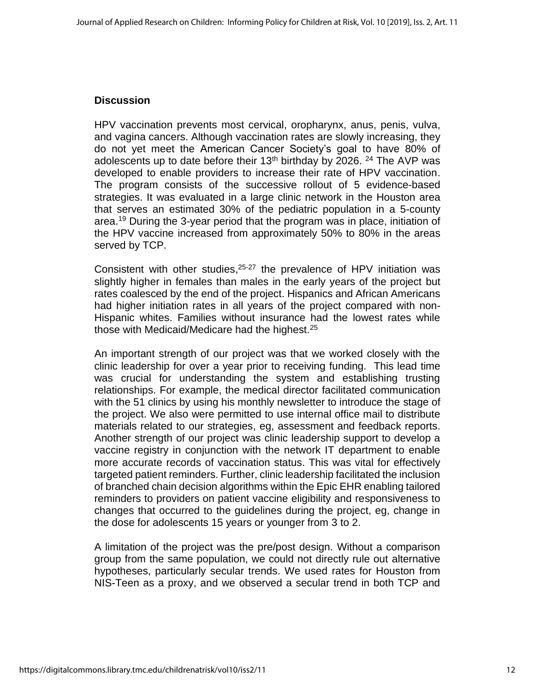#### **Discussion**

HPV vaccination prevents most cervical, oropharynx, anus, penis, vulva, and vagina cancers. Although vaccination rates are slowly increasing, they do not yet meet the American Cancer Society's goal to have 80% of adolescents up to date before their 13<sup>th</sup> birthday by 2026. <sup>24</sup> The AVP was developed to enable providers to increase their rate of HPV vaccination. The program consists of the successive rollout of 5 evidence-based strategies. It was evaluated in a large clinic network in the Houston area that serves an estimated 30% of the pediatric population in a 5-county area. <sup>19</sup> During the 3-year period that the program was in place, initiation of the HPV vaccine increased from approximately 50% to 80% in the areas served by TCP.

Consistent with other studies,  $25-27$  the prevalence of HPV initiation was slightly higher in females than males in the early years of the project but rates coalesced by the end of the project. Hispanics and African Americans had higher initiation rates in all years of the project compared with non-Hispanic whites. Families without insurance had the lowest rates while those with Medicaid/Medicare had the highest.<sup>25</sup>

An important strength of our project was that we worked closely with the clinic leadership for over a year prior to receiving funding. This lead time was crucial for understanding the system and establishing trusting relationships. For example, the medical director facilitated communication with the 51 clinics by using his monthly newsletter to introduce the stage of the project. We also were permitted to use internal office mail to distribute materials related to our strategies, eg, assessment and feedback reports. Another strength of our project was clinic leadership support to develop a vaccine registry in conjunction with the network IT department to enable more accurate records of vaccination status. This was vital for effectively targeted patient reminders. Further, clinic leadership facilitated the inclusion of branched chain decision algorithms within the Epic EHR enabling tailored reminders to providers on patient vaccine eligibility and responsiveness to changes that occurred to the guidelines during the project, eg, change in the dose for adolescents 15 years or younger from 3 to 2.

A limitation of the project was the pre/post design. Without a comparison group from the same population, we could not directly rule out alternative hypotheses, particularly secular trends. We used rates for Houston from NIS-Teen as a proxy, and we observed a secular trend in both TCP and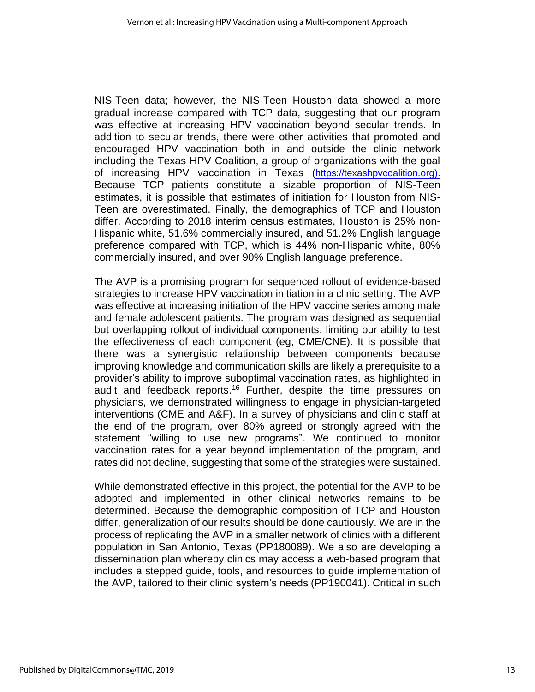NIS-Teen data; however, the NIS-Teen Houston data showed a more gradual increase compared with TCP data, suggesting that our program was effective at increasing HPV vaccination beyond secular trends. In addition to secular trends, there were other activities that promoted and encouraged HPV vaccination both in and outside the clinic network including the Texas HPV Coalition, a group of organizations with the goal of increasing HPV vaccination in Texas [\(https://texashpvcoalition.org\)](https://texashpvcoalition.org/). Because TCP patients constitute a sizable proportion of NIS-Teen estimates, it is possible that estimates of initiation for Houston from NIS-Teen are overestimated. Finally, the demographics of TCP and Houston differ. According to 2018 interim census estimates, Houston is 25% non-Hispanic white, 51.6% commercially insured, and 51.2% English language preference compared with TCP, which is 44% non-Hispanic white, 80% commercially insured, and over 90% English language preference.

The AVP is a promising program for sequenced rollout of evidence-based strategies to increase HPV vaccination initiation in a clinic setting. The AVP was effective at increasing initiation of the HPV vaccine series among male and female adolescent patients. The program was designed as sequential but overlapping rollout of individual components, limiting our ability to test the effectiveness of each component (eg, CME/CNE). It is possible that there was a synergistic relationship between components because improving knowledge and communication skills are likely a prerequisite to a provider's ability to improve suboptimal vaccination rates, as highlighted in audit and feedback reports.<sup>16</sup> Further, despite the time pressures on physicians, we demonstrated willingness to engage in physician-targeted interventions (CME and A&F). In a survey of physicians and clinic staff at the end of the program, over 80% agreed or strongly agreed with the statement "willing to use new programs". We continued to monitor vaccination rates for a year beyond implementation of the program, and rates did not decline, suggesting that some of the strategies were sustained.

While demonstrated effective in this project, the potential for the AVP to be adopted and implemented in other clinical networks remains to be determined. Because the demographic composition of TCP and Houston differ, generalization of our results should be done cautiously. We are in the process of replicating the AVP in a smaller network of clinics with a different population in San Antonio, Texas (PP180089). We also are developing a dissemination plan whereby clinics may access a web-based program that includes a stepped guide, tools, and resources to guide implementation of the AVP, tailored to their clinic system's needs (PP190041). Critical in such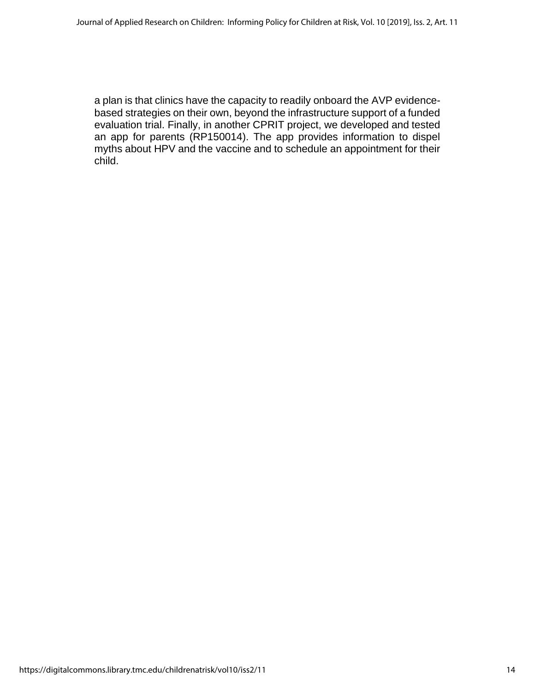a plan is that clinics have the capacity to readily onboard the AVP evidencebased strategies on their own, beyond the infrastructure support of a funded evaluation trial. Finally, in another CPRIT project, we developed and tested an app for parents (RP150014). The app provides information to dispel myths about HPV and the vaccine and to schedule an appointment for their child.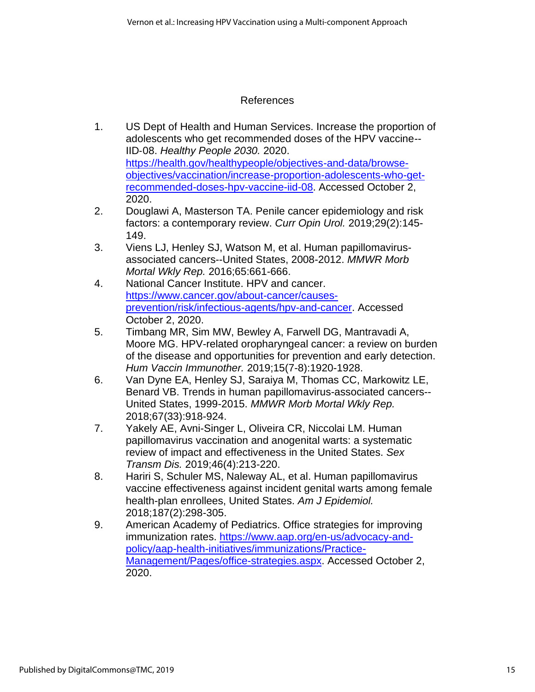## References

- 1. US Dept of Health and Human Services. Increase the proportion of adolescents who get recommended doses of the HPV vaccine-- IID‑08. *Healthy People 2030.* 2020. [https://health.gov/healthypeople/objectives-and-data/browse](https://health.gov/healthypeople/objectives-and-data/browse-objectives/vaccination/increase-proportion-adolescents-who-get-recommended-doses-hpv-vaccine-iid-08)[objectives/vaccination/increase-proportion-adolescents-who-get](https://health.gov/healthypeople/objectives-and-data/browse-objectives/vaccination/increase-proportion-adolescents-who-get-recommended-doses-hpv-vaccine-iid-08)[recommended-doses-hpv-vaccine-iid-08.](https://health.gov/healthypeople/objectives-and-data/browse-objectives/vaccination/increase-proportion-adolescents-who-get-recommended-doses-hpv-vaccine-iid-08) Accessed October 2, 2020.
- 2. Douglawi A, Masterson TA. Penile cancer epidemiology and risk factors: a contemporary review. *Curr Opin Urol.* 2019;29(2):145- 149.
- 3. Viens LJ, Henley SJ, Watson M, et al. Human papillomavirusassociated cancers--United States, 2008-2012. *MMWR Morb Mortal Wkly Rep.* 2016;65:661-666.
- 4. National Cancer Institute. HPV and cancer. [https://www.cancer.gov/about-cancer/causes](https://www.cancer.gov/about-cancer/causes-prevention/risk/infectious-agents/hpv-and-cancer)[prevention/risk/infectious-agents/hpv-and-cancer.](https://www.cancer.gov/about-cancer/causes-prevention/risk/infectious-agents/hpv-and-cancer) Accessed October 2, 2020.
- 5. Timbang MR, Sim MW, Bewley A, Farwell DG, Mantravadi A, Moore MG. HPV-related oropharyngeal cancer: a review on burden of the disease and opportunities for prevention and early detection. *Hum Vaccin Immunother.* 2019;15(7-8):1920-1928.
- 6. Van Dyne EA, Henley SJ, Saraiya M, Thomas CC, Markowitz LE, Benard VB. Trends in human papillomavirus-associated cancers-- United States, 1999-2015. *MMWR Morb Mortal Wkly Rep.*  2018;67(33):918-924.
- 7. Yakely AE, Avni-Singer L, Oliveira CR, Niccolai LM. Human papillomavirus vaccination and anogenital warts: a systematic review of impact and effectiveness in the United States. *Sex Transm Dis.* 2019;46(4):213-220.
- 8. Hariri S, Schuler MS, Naleway AL, et al. Human papillomavirus vaccine effectiveness against incident genital warts among female health-plan enrollees, United States. *Am J Epidemiol.*  2018;187(2):298-305.
- 9. American Academy of Pediatrics. Office strategies for improving immunization rates. [https://www.aap.org/en-us/advocacy-and](https://www.aap.org/en-us/advocacy-and-policy/aap-health-initiatives/immunizations/Practice-Management/Pages/office-strategies.aspx)[policy/aap-health-initiatives/immunizations/Practice-](https://www.aap.org/en-us/advocacy-and-policy/aap-health-initiatives/immunizations/Practice-Management/Pages/office-strategies.aspx)[Management/Pages/office-strategies.aspx.](https://www.aap.org/en-us/advocacy-and-policy/aap-health-initiatives/immunizations/Practice-Management/Pages/office-strategies.aspx) Accessed October 2, 2020.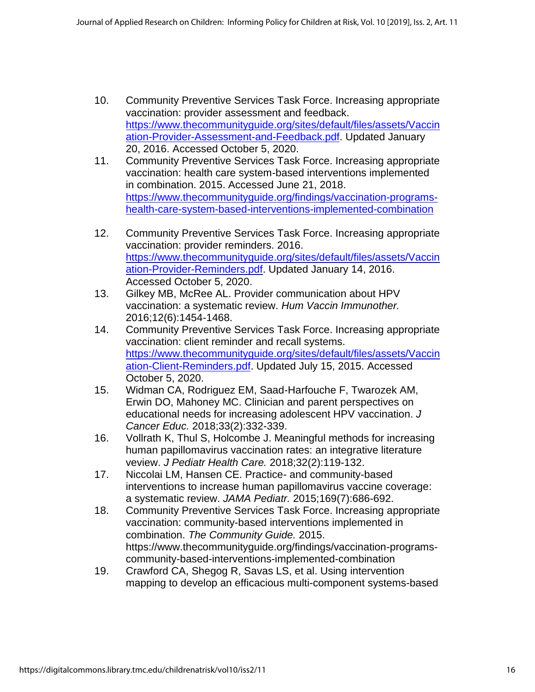- 10. Community Preventive Services Task Force. Increasing appropriate vaccination: provider assessment and feedback. [https://www.thecommunityguide.org/sites/default/files/assets/Vaccin](https://www.thecommunityguide.org/sites/default/files/assets/Vaccination-Provider-Assessment-and-Feedback.pdf) [ation-Provider-Assessment-and-Feedback.pdf.](https://www.thecommunityguide.org/sites/default/files/assets/Vaccination-Provider-Assessment-and-Feedback.pdf) Updated January 20, 2016. Accessed October 5, 2020.
- 11. Community Preventive Services Task Force. Increasing appropriate vaccination: health care system-based interventions implemented in combination. 2015. Accessed June 21, 2018. [https://www.thecommunityguide.org/findings/vaccination-programs](https://www.thecommunityguide.org/findings/vaccination-programs-health-care-system-based-interventions-implemented-combination)[health-care-system-based-interventions-implemented-combination](https://www.thecommunityguide.org/findings/vaccination-programs-health-care-system-based-interventions-implemented-combination)
- 12. Community Preventive Services Task Force. Increasing appropriate vaccination: provider reminders. 2016. [https://www.thecommunityguide.org/sites/default/files/assets/Vaccin](https://www.thecommunityguide.org/sites/default/files/assets/Vaccination-Provider-Reminders.pdf) [ation-Provider-Reminders.pdf.](https://www.thecommunityguide.org/sites/default/files/assets/Vaccination-Provider-Reminders.pdf) Updated January 14, 2016. Accessed October 5, 2020.
- 13. Gilkey MB, McRee AL. Provider communication about HPV vaccination: a systematic review. *Hum Vaccin Immunother.*  2016;12(6):1454-1468.
- 14. Community Preventive Services Task Force. Increasing appropriate vaccination: client reminder and recall systems. [https://www.thecommunityguide.org/sites/default/files/assets/Vaccin](https://www.thecommunityguide.org/sites/default/files/assets/Vaccination-Client-Reminders.pdf) [ation-Client-Reminders.pdf.](https://www.thecommunityguide.org/sites/default/files/assets/Vaccination-Client-Reminders.pdf) Updated July 15, 2015. Accessed October 5, 2020.
- 15. Widman CA, Rodriguez EM, Saad-Harfouche F, Twarozek AM, Erwin DO, Mahoney MC. Clinician and parent perspectives on educational needs for increasing adolescent HPV vaccination. *J Cancer Educ.* 2018;33(2):332-339.
- 16. Vollrath K, Thul S, Holcombe J. Meaningful methods for increasing human papillomavirus vaccination rates: an integrative literature veview. *J Pediatr Health Care.* 2018;32(2):119-132.
- 17. Niccolai LM, Hansen CE. Practice- and community-based interventions to increase human papillomavirus vaccine coverage: a systematic review. *JAMA Pediatr.* 2015;169(7):686-692.
- 18. Community Preventive Services Task Force. Increasing appropriate vaccination: community-based interventions implemented in combination. *The Community Guide.* 2015. https://www.thecommunityguide.org/findings/vaccination-programscommunity-based-interventions-implemented-combination
- 19. Crawford CA, Shegog R, Savas LS, et al. Using intervention mapping to develop an efficacious multi-component systems-based